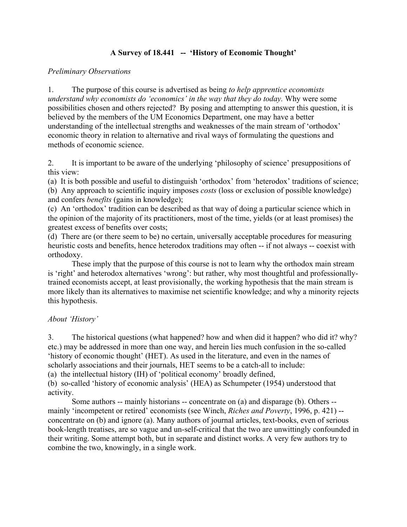# **A Survey of 18.441 -- 'History of Economic Thought'**

### *Preliminary Observations*

1. The purpose of this course is advertised as being *to help apprentice economists understand why economists do 'economics' in the way that they do today.* Why were some possibilities chosen and others rejected? By posing and attempting to answer this question, it is believed by the members of the UM Economics Department, one may have a better understanding of the intellectual strengths and weaknesses of the main stream of 'orthodox' economic theory in relation to alternative and rival ways of formulating the questions and methods of economic science.

2. It is important to be aware of the underlying 'philosophy of science' presuppositions of this view:

(a) It is both possible and useful to distinguish 'orthodox' from 'heterodox' traditions of science; (b) Any approach to scientific inquiry imposes *costs* (loss or exclusion of possible knowledge) and confers *benefits* (gains in knowledge);

(c) An 'orthodox' tradition can be described as that way of doing a particular science which in the opinion of the majority of its practitioners, most of the time, yields (or at least promises) the greatest excess of benefits over costs;

(d) There are (or there seem to be) no certain, universally acceptable procedures for measuring heuristic costs and benefits, hence heterodox traditions may often -- if not always -- coexist with orthodoxy.

These imply that the purpose of this course is not to learn why the orthodox main stream is 'right' and heterodox alternatives 'wrong': but rather, why most thoughtful and professionallytrained economists accept, at least provisionally, the working hypothesis that the main stream is more likely than its alternatives to maximise net scientific knowledge; and why a minority rejects this hypothesis.

## *About 'History'*

3. The historical questions (what happened? how and when did it happen? who did it? why? etc.) may be addressed in more than one way, and herein lies much confusion in the so-called 'history of economic thought' (HET). As used in the literature, and even in the names of scholarly associations and their journals, HET seems to be a catch-all to include:

(a) the intellectual history (IH) of 'political economy' broadly defined,

(b) so-called 'history of economic analysis' (HEA) as Schumpeter (1954) understood that activity.

Some authors -- mainly historians -- concentrate on (a) and disparage (b). Others - mainly 'incompetent or retired' economists (see Winch, *Riches and Poverty*, 1996, p. 421) - concentrate on (b) and ignore (a). Many authors of journal articles, text-books, even of serious book-length treatises, are so vague and un-self-critical that the two are unwittingly confounded in their writing. Some attempt both, but in separate and distinct works. A very few authors try to combine the two, knowingly, in a single work.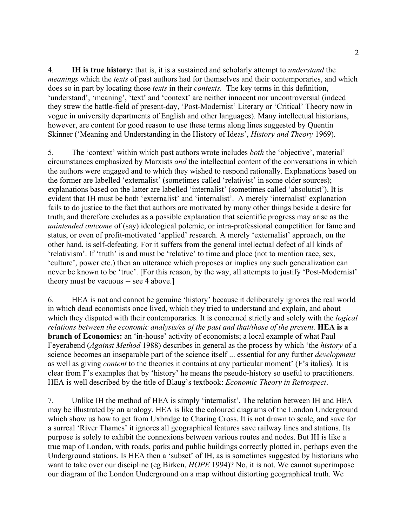4. **IH is true history:** that is, it is a sustained and scholarly attempt to *understand* the *meanings* which the *texts* of past authors had for themselves and their contemporaries, and which does so in part by locating those *texts* in their *contexts.* The key terms in this definition, 'understand', 'meaning', 'text' and 'context' are neither innocent nor uncontroversial (indeed they strew the battle-field of present-day, 'Post-Modernist' Literary or 'Critical' Theory now in vogue in university departments of English and other languages). Many intellectual historians, however, are content for good reason to use these terms along lines suggested by Quentin Skinner ('Meaning and Understanding in the History of Ideas', *History and Theory* 1969).

5. The 'context' within which past authors wrote includes *both* the 'objective', material' circumstances emphasized by Marxists *and* the intellectual content of the conversations in which the authors were engaged and to which they wished to respond rationally. Explanations based on the former are labelled 'externalist' (sometimes called 'relativist' in some older sources); explanations based on the latter are labelled 'internalist' (sometimes called 'absolutist'). It is evident that IH must be both 'externalist' and 'internalist'. A merely 'internalist' explanation fails to do justice to the fact that authors are motivated by many other things beside a desire for truth; and therefore excludes as a possible explanation that scientific progress may arise as the *unintended outcome* of (say) ideological polemic, or intra-professional competition for fame and status, or even of profit-motivated 'applied' research. A merely 'externalist' approach, on the other hand, is self-defeating. For it suffers from the general intellectual defect of all kinds of 'relativism'. If 'truth' is and must be 'relative' to time and place (not to mention race, sex, 'culture', power etc.) then an utterance which proposes or implies any such generalization can never be known to be 'true'. [For this reason, by the way, all attempts to justify 'Post-Modernist' theory must be vacuous -- see 4 above.]

6. HEA is not and cannot be genuine 'history' because it deliberately ignores the real world in which dead economists once lived, which they tried to understand and explain, and about which they disputed with their contemporaries. It is concerned strictly and solely with the *logical relations between the economic analysis/es of the past and that/those of the present.* **HEA is a branch of Economics:** an 'in-house' activity of economists; a local example of what Paul Feyerabend (*Against Method* 1988) describes in general as the process by which 'the *history* of a science becomes an inseparable part of the science itself ... essential for any further *development* as well as giving *content* to the theories it contains at any particular moment' (F's italics). It is clear from F's examples that by 'history' he means the pseudo-history so useful to practitioners. HEA is well described by the title of Blaug's textbook: *Economic Theory in Retrospect*.

7. Unlike IH the method of HEA is simply 'internalist'. The relation between IH and HEA may be illustrated by an analogy. HEA is like the coloured diagrams of the London Underground which show us how to get from Uxbridge to Charing Cross. It is not drawn to scale, and save for a surreal 'River Thames' it ignores all geographical features save railway lines and stations. Its purpose is solely to exhibit the connexions between various routes and nodes. But IH is like a true map of London, with roads, parks and public buildings correctly plotted in, perhaps even the Underground stations. Is HEA then a 'subset' of IH, as is sometimes suggested by historians who want to take over our discipline (eg Birken, *HOPE* 1994)? No, it is not. We cannot superimpose our diagram of the London Underground on a map without distorting geographical truth. We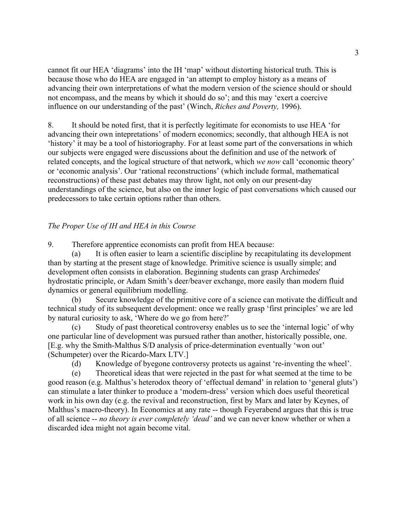cannot fit our HEA 'diagrams' into the IH 'map' without distorting historical truth. This is because those who do HEA are engaged in 'an attempt to employ history as a means of advancing their own interpretations of what the modern version of the science should or should not encompass, and the means by which it should do so'; and this may 'exert a coercive influence on our understanding of the past' (Winch, *Riches and Poverty,* 1996).

8. It should be noted first, that it is perfectly legitimate for economists to use HEA 'for advancing their own intepretations' of modern economics; secondly, that although HEA is not 'history' it may be a tool of historiography. For at least some part of the conversations in which our subjects were engaged were discussions about the definition and use of the network of related concepts, and the logical structure of that network, which *we now* call 'economic theory' or 'economic analysis'. Our 'rational reconstructions' (which include formal, mathematical reconstructions) of these past debates may throw light, not only on our present-day understandings of the science, but also on the inner logic of past conversations which caused our predecessors to take certain options rather than others.

## *The Proper Use of IH and HEA in this Course*

9. Therefore apprentice economists can profit from HEA because:

(a) It is often easier to learn a scientific discipline by recapitulating its development than by starting at the present stage of knowledge. Primitive science is usually simple; and development often consists in elaboration. Beginning students can grasp Archimedes' hydrostatic principle, or Adam Smith's deer/beaver exchange, more easily than modern fluid dynamics or general equilibrium modelling.

(b) Secure knowledge of the primitive core of a science can motivate the difficult and technical study of its subsequent development: once we really grasp 'first principles' we are led by natural curiosity to ask, 'Where do we go from here?'

(c) Study of past theoretical controversy enables us to see the 'internal logic' of why one particular line of development was pursued rather than another, historically possible, one. [E.g. why the Smith-Malthus S/D analysis of price-determination eventually 'won out' (Schumpeter) over the Ricardo-Marx LTV.]

(d) Knowledge of byegone controversy protects us against 're-inventing the wheel'.

(e) Theoretical ideas that were rejected in the past for what seemed at the time to be good reason (e.g. Malthus's heterodox theory of 'effectual demand' in relation to 'general gluts') can stimulate a later thinker to produce a 'modern-dress' version which does useful theoretical work in his own day (e.g. the revival and reconstruction, first by Marx and later by Keynes, of Malthus's macro-theory). In Economics at any rate -- though Feyerabend argues that this is true of all science -- *no theory is ever completely 'dead'* and we can never know whether or when a discarded idea might not again become vital.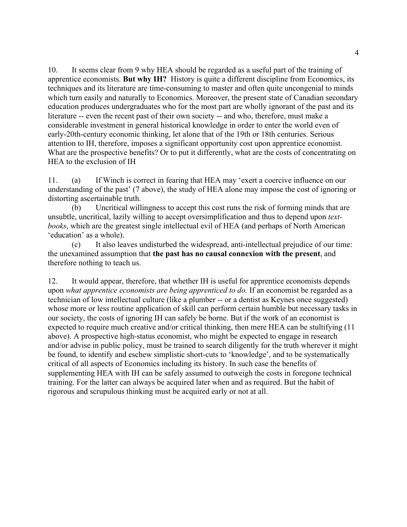10. It seems clear from 9 why HEA should be regarded as a useful part of the training of apprentice economists. **But why IH?** History is quite a different discipline from Economics, its techniques and its literature are time-consuming to master and often quite uncongenial to minds which turn easily and naturally to Economics. Moreover, the present state of Canadian secondary education produces undergraduates who for the most part are wholly ignorant of the past and its literature -- even the recent past of their own society -- and who, therefore, must make a considerable investment in general historical knowledge in order to enter the world even of early-20th-century economic thinking, let alone that of the 19th or 18th centuries. Serious attention to IH, therefore, imposes a significant opportunity cost upon apprentice economist. What are the prospective benefits? Or to put it differently, what are the costs of concentrating on HEA to the exclusion of IH

11. (a) If Winch is correct in fearing that HEA may 'exert a coercive influence on our understanding of the past' (7 above), the study of HEA alone may impose the cost of ignoring or distorting ascertainable truth.

(b) Uncritical willingness to accept this cost runs the risk of forming minds that are unsubtle, uncritical, lazily willing to accept oversimplification and thus to depend upon *textbooks*, which are the greatest single intellectual evil of HEA (and perhaps of North American 'education' as a whole).

(c) It also leaves undisturbed the widespread, anti-intellectual prejudice of our time: the unexamined assumption that **the past has no causal connexion with the present**, and therefore nothing to teach us.

12. It would appear, therefore, that whether IH is useful for apprentice economists depends upon *what apprentice economists are being apprenticed to do.* If an economist be regarded as a technician of low intellectual culture (like a plumber -- or a dentist as Keynes once suggested) whose more or less routine application of skill can perform certain humble but necessary tasks in our society, the costs of ignoring IH can safely be borne. But if the work of an economist is expected to require much creative and/or critical thinking, then mere HEA can be stultifying (11 above). A prospective high-status economist, who might be expected to engage in research and/or advise in public policy, must be trained to search diligently for the truth wherever it might be found, to identify and eschew simplistic short-cuts to 'knowledge', and to be systematically critical of all aspects of Economics including its history. In such case the benefits of supplementing HEA with IH can be safely assumed to outweigh the costs in foregone technical training. For the latter can always be acquired later when and as required. But the habit of rigorous and scrupulous thinking must be acquired early or not at all.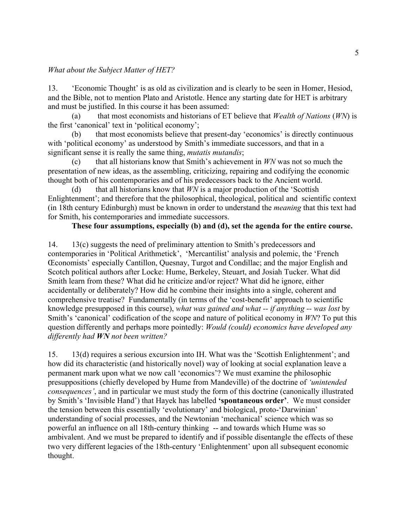#### *What about the Subject Matter of HET?*

13. 'Economic Thought' is as old as civilization and is clearly to be seen in Homer, Hesiod, and the Bible, not to mention Plato and Aristotle. Hence any starting date for HET is arbitrary and must be justified. In this course it has been assumed:

(a) that most economists and historians of ET believe that *Wealth of Nations* (*WN*) is the first 'canonical' text in 'political economy';

(b) that most economists believe that present-day 'economics' is directly continuous with 'political economy' as understood by Smith's immediate successors, and that in a significant sense it is really the same thing, *mutatis mutandis*;

(c) that all historians know that Smith's achievement in *WN* was not so much the presentation of new ideas, as the assembling, criticizing, repairing and codifying the economic thought both of his contemporaries and of his predecessors back to the Ancient world.

(d) that all historians know that *WN* is a major production of the 'Scottish Enlightenment'; and therefore that the philosophical, theological, political and scientific context (in 18th century Edinburgh) must be known in order to understand the *meaning* that this text had for Smith, his contemporaries and immediate successors.

#### **These four assumptions, especially (b) and (d), set the agenda for the entire course.**

14. 13(c) suggests the need of preliminary attention to Smith's predecessors and contemporaries in 'Political Arithmetick', 'Mercantilist' analysis and polemic, the 'French Œconomists' especially Cantillon, Quesnay, Turgot and Condillac; and the major English and Scotch political authors after Locke: Hume, Berkeley, Steuart, and Josiah Tucker. What did Smith learn from these? What did he criticize and/or reject? What did he ignore, either accidentally or deliberately? How did he combine their insights into a single, coherent and comprehensive treatise? Fundamentally (in terms of the 'cost-benefit' approach to scientific knowledge presupposed in this course), *what was gained and what -- if anything -- was lost* by Smith's 'canonical' codification of the scope and nature of political economy in *WN*? To put this question differently and perhaps more pointedly: *Would (could) economics have developed any differently had WN not been written?*

15. 13(d) requires a serious excursion into IH. What was the 'Scottish Enlightenment'; and how did its characteristic (and historically novel) way of looking at social explanation leave a permanent mark upon what we now call 'economics'? We must examine the philosophic presuppositions (chiefly developed by Hume from Mandeville) of the doctrine of *'unintended consequences'*, and in particular we must study the form of this doctrine (canonically illustrated by Smith's 'Invisible Hand') that Hayek has labelled **'spontaneous order'**. We must consider the tension between this essentially 'evolutionary' and biological, proto-'Darwinian' understanding of social processes, and the Newtonian 'mechanical' science which was so powerful an influence on all 18th-century thinking -- and towards which Hume was so ambivalent. And we must be prepared to identify and if possible disentangle the effects of these two very different legacies of the 18th-century 'Enlightenment' upon all subsequent economic thought.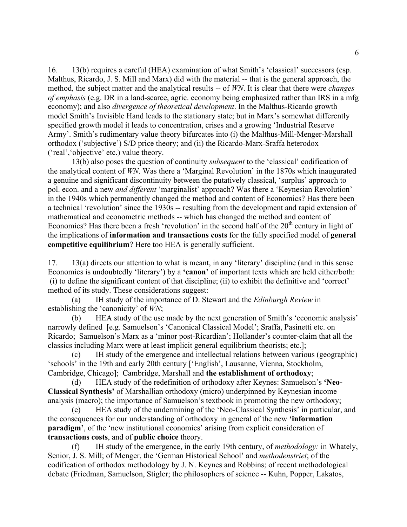16. 13(b) requires a careful (HEA) examination of what Smith's 'classical' successors (esp. Malthus, Ricardo, J. S. Mill and Marx) did with the material -- that is the general approach, the method, the subject matter and the analytical results -- of *WN*. It is clear that there were *changes of emphasis* (e.g. DR in a land-scarce, agric. economy being emphasized rather than IRS in a mfg economy); and also *divergence of theoretical development*. In the Malthus-Ricardo growth model Smith's Invisible Hand leads to the stationary state; but in Marx's somewhat differently specified growth model it leads to concentration, crises and a growing 'Industrial Reserve Army'. Smith's rudimentary value theory bifurcates into (i) the Malthus-Mill-Menger-Marshall orthodox ('subjective') S/D price theory; and (ii) the Ricardo-Marx-Sraffa heterodox ('real','objective' etc.) value theory.

13(b) also poses the question of continuity *subsequent* to the 'classical' codification of the analytical content of *WN*. Was there a 'Marginal Revolution' in the 1870s which inaugurated a genuine and significant discontinuity between the putatively classical, 'surplus' approach to pol. econ. and a new *and different* 'marginalist' approach? Was there a 'Keynesian Revolution' in the 1940s which permanently changed the method and content of Economics? Has there been a technical 'revolution' since the 1930s -- resulting from the development and rapid extension of mathematical and econometric methods -- which has changed the method and content of Economics? Has there been a fresh 'revolution' in the second half of the  $20<sup>th</sup>$  century in light of the implications of **information and transactions costs** for the fully specified model of **general competitive equilibrium**? Here too HEA is generally sufficient.

17. 13(a) directs our attention to what is meant, in any 'literary' discipline (and in this sense Economics is undoubtedly 'literary') by a **'canon'** of important texts which are held either/both: (i) to define the significant content of that discipline; (ii) to exhibit the definitive and 'correct' method of its study. These considerations suggest:

(a) IH study of the importance of D. Stewart and the *Edinburgh Review* in establishing the 'canonicity' of *WN*;

(b) HEA study of the use made by the next generation of Smith's 'economic analysis' narrowly defined [e.g. Samuelson's 'Canonical Classical Model'; Sraffa, Pasinetti etc. on Ricardo; Samuelson's Marx as a 'minor post-Ricardian'; Hollander's counter-claim that all the classics including Marx were at least implicit general equilibrium theorists; etc.];

(c) IH study of the emergence and intellectual relations between various (geographic) 'schools' in the 19th and early 20th century ['English', Lausanne, Vienna, Stockholm, Cambridge, Chicago]; Cambridge, Marshall and **the establishment of orthodoxy**;

(d) HEA study of the redefinition of orthodoxy after Keynes: Samuelson's **'Neo-Classical Synthesis'** of Marshallian orthodoxy (micro) underpinned by Keynesian income analysis (macro); the importance of Samuelson's textbook in promoting the new orthodoxy;

(e) HEA study of the undermining of the 'Neo-Classical Synthesis' in particular, and the consequences for our understanding of orthodoxy in general of the new **'information paradigm'**, of the 'new institutional economics' arising from explicit consideration of **transactions costs**, and of **public choice** theory.

(f) IH study of the emergence, in the early 19th century, of *methodology:* in Whately, Senior, J. S. Mill; of Menger, the 'German Historical School' and *methodenstriet*; of the codification of orthodox methodology by J. N. Keynes and Robbins; of recent methodological debate (Friedman, Samuelson, Stigler; the philosophers of science -- Kuhn, Popper, Lakatos,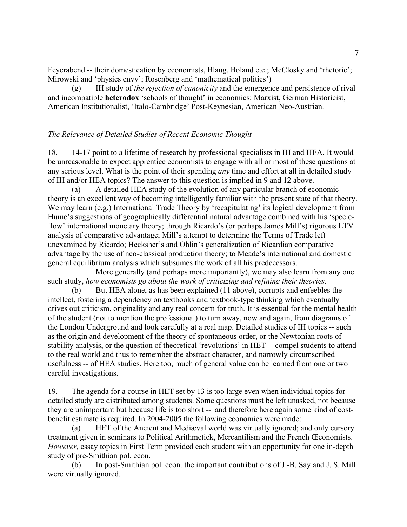Feyerabend -- their domestication by economists, Blaug, Boland etc.; McClosky and 'rhetoric'; Mirowski and 'physics envy'; Rosenberg and 'mathematical politics')

(g) IH study of *the rejection of canonicity* and the emergence and persistence of rival and incompatible **heterodox** 'schools of thought' in economics: Marxist, German Historicist, American Institutionalist, 'Italo-Cambridge' Post-Keynesian, American Neo-Austrian.

### *The Relevance of Detailed Studies of Recent Economic Thought*

18. 14-17 point to a lifetime of research by professional specialists in IH and HEA. It would be unreasonable to expect apprentice economists to engage with all or most of these questions at any serious level. What is the point of their spending *any* time and effort at all in detailed study of IH and/or HEA topics? The answer to this question is implied in 9 and 12 above.

(a) A detailed HEA study of the evolution of any particular branch of economic theory is an excellent way of becoming intelligently familiar with the present state of that theory. We may learn (e.g.) International Trade Theory by 'recapitulating' its logical development from Hume's suggestions of geographically differential natural advantage combined with his 'specieflow' international monetary theory; through Ricardo's (or perhaps James Mill's) rigorous LTV analysis of comparative advantage; Mill's attempt to determine the Terms of Trade left unexamined by Ricardo; Hecksher's and Ohlin's generalization of Ricardian comparative advantage by the use of neo-classical production theory; to Meade's international and domestic general equilibrium analysis which subsumes the work of all his predecessors.

More generally (and perhaps more importantly), we may also learn from any one such study, *how economists go about the work of criticizing and refining their theories*.

But HEA alone, as has been explained (11 above), corrupts and enfeebles the intellect, fostering a dependency on textbooks and textbook-type thinking which eventually drives out criticism, originality and any real concern for truth. It is essential for the mental health of the student (not to mention the professional) to turn away, now and again, from diagrams of the London Underground and look carefully at a real map. Detailed studies of IH topics -- such as the origin and development of the theory of spontaneous order, or the Newtonian roots of stability analysis, or the question of theoretical 'revolutions' in HET -- compel students to attend to the real world and thus to remember the abstract character, and narrowly circumscribed usefulness -- of HEA studies. Here too, much of general value can be learned from one or two careful investigations.

19. The agenda for a course in HET set by 13 is too large even when individual topics for detailed study are distributed among students. Some questions must be left unasked, not because they are unimportant but because life is too short -- and therefore here again some kind of costbenefit estimate is required. In 2004-2005 the following economies were made:

(a) HET of the Ancient and Mediæval world was virtually ignored; and only cursory treatment given in seminars to Political Arithmetick, Mercantilism and the French Œconomists. *However,* essay topics in First Term provided each student with an opportunity for one in-depth study of pre-Smithian pol. econ.

(b) In post-Smithian pol. econ. the important contributions of J.-B. Say and J. S. Mill were virtually ignored.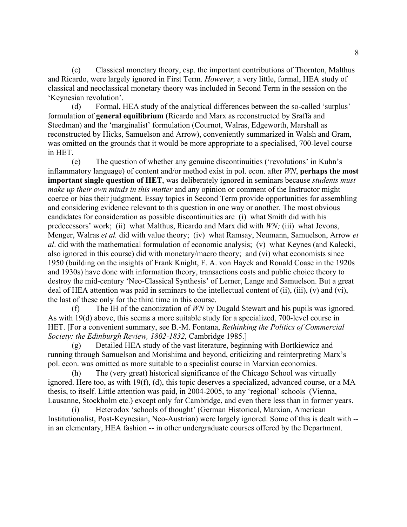(c) Classical monetary theory, esp. the important contributions of Thornton, Malthus and Ricardo, were largely ignored in First Term. *However,* a very little, formal, HEA study of classical and neoclassical monetary theory was included in Second Term in the session on the 'Keynesian revolution'.

(d) Formal, HEA study of the analytical differences between the so-called 'surplus' formulation of **general equilibrium** (Ricardo and Marx as reconstructed by Sraffa and Steedman) and the 'marginalist' formulation (Cournot, Walras, Edgeworth, Marshall as reconstructed by Hicks, Samuelson and Arrow), conveniently summarized in Walsh and Gram, was omitted on the grounds that it would be more appropriate to a specialised, 700-level course in HET.

(e) The question of whether any genuine discontinuities ('revolutions' in Kuhn's inflammatory language) of content and/or method exist in pol. econ. after *WN*, **perhaps the most important single question of HET**, was deliberately ignored in seminars because *students must make up their own minds in this matter* and any opinion or comment of the Instructor might coerce or bias their judgment. Essay topics in Second Term provide opportunities for assembling and considering evidence relevant to this question in one way or another. The most obvious candidates for consideration as possible discontinuities are (i) what Smith did with his predecessors' work; (ii) what Malthus, Ricardo and Marx did with *WN;* (iii) what Jevons, Menger, Walras *et al.* did with value theory; (iv) what Ramsay, Neumann, Samuelson, Arrow *et al*. did with the mathematical formulation of economic analysis; (v) what Keynes (and Kalecki, also ignored in this course) did with monetary/macro theory; and (vi) what economists since 1950 (building on the insights of Frank Knight, F. A. von Hayek and Ronald Coase in the 1920s and 1930s) have done with information theory, transactions costs and public choice theory to destroy the mid-century 'Neo-Classical Synthesis' of Lerner, Lange and Samuelson. But a great deal of HEA attention was paid in seminars to the intellectual content of (ii), (iii), (v) and (vi), the last of these only for the third time in this course.

(f) The IH of the canonization of *WN* by Dugald Stewart and his pupils was ignored. As with 19(d) above, this seems a more suitable study for a specialized, 700-level course in HET. [For a convenient summary, see B.-M. Fontana, *Rethinking the Politics of Commercial Society: the Edinburgh Review, 1802-1832,* Cambridge 1985.]

(g) Detailed HEA study of the vast literature, beginning with Bortkiewicz and running through Samuelson and Morishima and beyond, criticizing and reinterpreting Marx's pol. econ. was omitted as more suitable to a specialist course in Marxian economics.

(h) The (very great) historical significance of the Chicago School was virtually ignored. Here too, as with 19(f), (d), this topic deserves a specialized, advanced course, or a MA thesis, to itself. Little attention was paid, in 2004-2005, to any 'regional' schools (Vienna, Lausanne, Stockholm etc.) except only for Cambridge, and even there less than in former years.

(i) Heterodox 'schools of thought' (German Historical, Marxian, American Institutionalist, Post-Keynesian, Neo-Austrian) were largely ignored. Some of this is dealt with - in an elementary, HEA fashion -- in other undergraduate courses offered by the Department.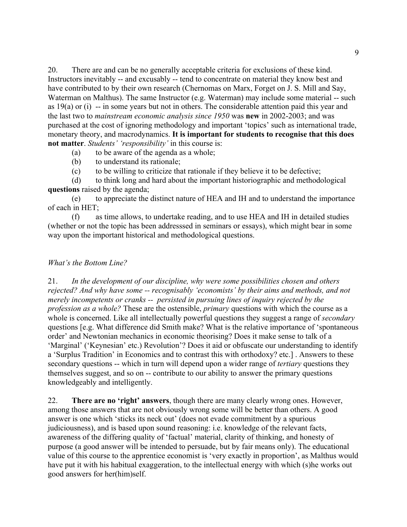20. There are and can be no generally acceptable criteria for exclusions of these kind. Instructors inevitably -- and excusably -- tend to concentrate on material they know best and have contributed to by their own research (Chernomas on Marx, Forget on J. S. Mill and Say, Waterman on Malthus). The same Instructor (e.g. Waterman) may include some material -- such as 19(a) or (i) -- in some years but not in others. The considerable attention paid this year and the last two to *mainstream economic analysis since 1950* was **new** in 2002-2003; and was purchased at the cost of ignoring methodology and important 'topics' such as international trade, monetary theory, and macrodynamics. **It is important for students to recognise that this does not matter**. *Students' 'responsibility'* in this course is:

- (a) to be aware of the agenda as a whole;
- (b) to understand its rationale;
- (c) to be willing to criticize that rationale if they believe it to be defective;

(d) to think long and hard about the important historiographic and methodological **questions** raised by the agenda;

(e) to appreciate the distinct nature of HEA and IH and to understand the importance of each in HET;

(f) as time allows, to undertake reading, and to use HEA and IH in detailed studies (whether or not the topic has been addresssed in seminars or essays), which might bear in some way upon the important historical and methodological questions.

#### *What's the Bottom Line?*

21. *In the development of our discipline, why were some possibilities chosen and others rejected? And why have some -- recognisably 'economists' by their aims and methods, and not merely incompetents or cranks -- persisted in pursuing lines of inquiry rejected by the profession as a whole?* These are the ostensible, *primary* questions with which the course as a whole is concerned. Like all intellectually powerful questions they suggest a range of *secondary*  questions [e.g. What difference did Smith make? What is the relative importance of 'spontaneous order' and Newtonian mechanics in economic theorising? Does it make sense to talk of a 'Marginal' ('Keynesian' etc.) Revolution'? Does it aid or obfuscate our understanding to identify a 'Surplus Tradition' in Economics and to contrast this with orthodoxy? etc.] . Answers to these secondary questions -- which in turn will depend upon a wider range of *tertiary* questions they themselves suggest, and so on -- contribute to our ability to answer the primary questions knowledgeably and intelligently.

22. **There are no 'right' answers**, though there are many clearly wrong ones. However, among those answers that are not obviously wrong some will be better than others. A good answer is one which 'sticks its neck out' (does not evade commitment by a spurious judiciousness), and is based upon sound reasoning: i.e. knowledge of the relevant facts, awareness of the differing quality of 'factual' material, clarity of thinking, and honesty of purpose (a good answer will be intended to persuade, but by fair means only). The educational value of this course to the apprentice economist is 'very exactly in proportion', as Malthus would have put it with his habitual exaggeration, to the intellectual energy with which (s)he works out good answers for her(him)self.